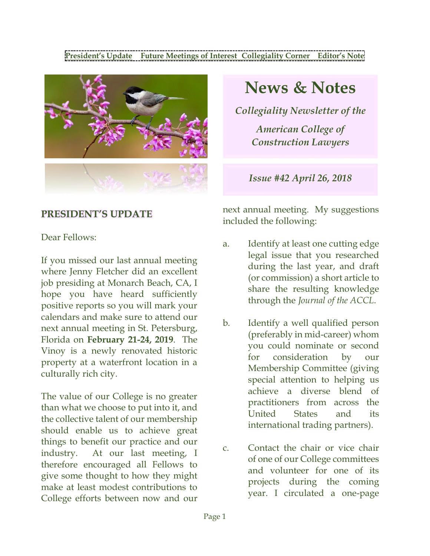### **[President's](#page-0-0) Update Future [Meetings](#page-2-0) of Interest [Collegiality](#page-2-1) Corner [Editor's](#page-5-0) Note**



#### <span id="page-0-0"></span>**PRESIDENT'S UPDATE**

Dear Fellows:

If you missed our last annual meeting where Jenny Fletcher did an excellent job presiding at Monarch Beach, CA, I hope you have heard sufficiently positive reports so you will mark your calendars and make sure to attend our next annual meeting in St. Petersburg, Florida on **February 21-24, 2019**. The Vinoy is a newly renovated historic property at a waterfront location in a culturally rich city.

The value of our College is no greater than what we choose to put into it, and the collective talent of our membership should enable us to achieve great things to benefit our practice and our industry. At our last meeting, I therefore encouraged all Fellows to give some thought to how they might make at least modest contributions to College efforts between now and our

**News & Notes**

*Collegiality Newsletter of the*

*American College of Construction Lawyers*

*Issue #42 April 26, 2018*

next annual meeting. My suggestions included the following:

- a. Identify at least one cutting edge legal issue that you researched during the last year, and draft (or commission) a short article to share the resulting knowledge through the *Journal of the ACCL*.
- b. Identify a well qualified person (preferably in mid-career) whom you could nominate or second for consideration by our Membership Committee (giving special attention to helping us achieve a diverse blend of practitioners from across the United States and its international trading partners).
- c. Contact the chair or vice chair of one of our College committees and volunteer for one of its projects during the coming year. I circulated a one-page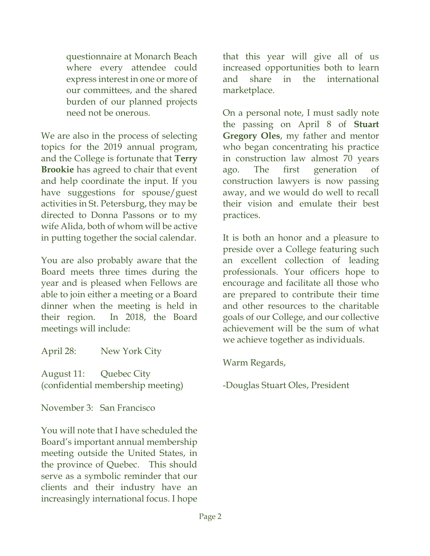questionnaire at Monarch Beach where every attendee could express interest in one or more of our committees, and the shared burden of our planned projects need not be onerous.

We are also in the process of selecting topics for the 2019 annual program, and the College is fortunate that **Terry Brookie** has agreed to chair that event and help coordinate the input. If you have suggestions for spouse/guest activities in St. Petersburg, they may be directed to Donna Passons or to my wife Alida, both of whom will be active in putting together the social calendar.

You are also probably aware that the Board meets three times during the year and is pleased when Fellows are able to join either a meeting or a Board dinner when the meeting is held in their region. In 2018, the Board meetings will include:

April 28: New York City August 11: Quebec City

(confidential membership meeting)

November 3: San Francisco

You will note that I have scheduled the Board's important annual membership meeting outside the United States, in the province of Quebec. This should serve as a symbolic reminder that our clients and their industry have an increasingly international focus. I hope

that this year will give all of us increased opportunities both to learn and share in the international marketplace.

On a personal note, I must sadly note the passing on April 8 of **Stuart Gregory Oles**, my father and mentor who began concentrating his practice in construction law almost 70 years ago. The first generation of construction lawyers is now passing away, and we would do well to recall their vision and emulate their best practices.

It is both an honor and a pleasure to preside over a College featuring such an excellent collection of leading professionals. Your officers hope to encourage and facilitate all those who are prepared to contribute their time and other resources to the charitable goals of our College, and our collective achievement will be the sum of what we achieve together as individuals.

Warm Regards,

-Douglas Stuart Oles, President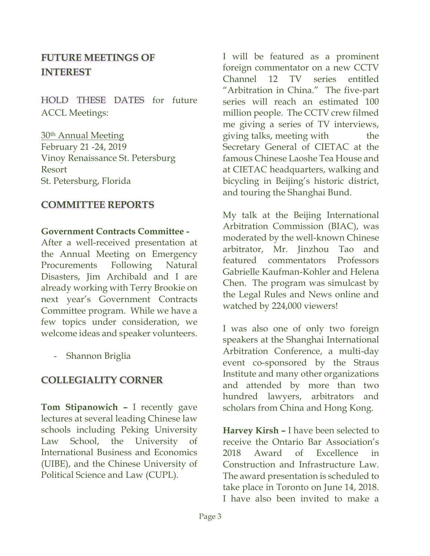# <span id="page-2-0"></span>**FUTURE MEETINGS OF INTEREST**

HOLD THESE DATES for future ACCL Meetings:

30th Annual Meeting February 21 -24, 2019 Vinoy Renaissance St. Petersburg Resort St. Petersburg, Florida

### **COMMITTEE REPORTS**

#### **Government Contracts Committee -**

After a well-received presentation at the Annual Meeting on Emergency Procurements Following Natural Disasters, Jim Archibald and I are already working with Terry Brookie on next year's Government Contracts Committee program. While we have a few topics under consideration, we welcome ideas and speaker volunteers.

- Shannon Briglia

### <span id="page-2-1"></span>**COLLEGIALITY CORNER**

**Tom Stipanowich –** I recently gave lectures at several leading Chinese law schools including Peking University Law School, the University of International Business and Economics (UIBE), and the Chinese University of Political Science and Law (CUPL).

I will be featured as a prominent foreign commentator on a new CCTV Channel 12 TV series entitled "Arbitration in China." The five-part series will reach an estimated 100 million people. The CCTV crew filmed me giving a series of TV interviews, giving talks, meeting with the Secretary General of CIETAC at the famous Chinese Laoshe Tea House and at CIETAC headquarters, walking and bicycling in Beijing's historic district, and touring the Shanghai Bund.

My talk at the Beijing International Arbitration Commission (BIAC), was moderated by the well-known Chinese arbitrator, Mr. Jinzhou Tao and featured commentators Professors Gabrielle Kaufman-Kohler and Helena Chen. The program was simulcast by the Legal Rules and News online and watched by 224,000 viewers!

I was also one of only two foreign speakers at the Shanghai International Arbitration Conference, a multi-day event co-sponsored by the Straus Institute and many other organizations and attended by more than two hundred lawyers, arbitrators and scholars from China and Hong Kong.

**Harvey Kirsh –** I have been selected to receive the Ontario Bar Association's 2018 Award of Excellence in Construction and Infrastructure Law. The award presentation is scheduled to take place in Toronto on June 14, 2018. I have also been invited to make a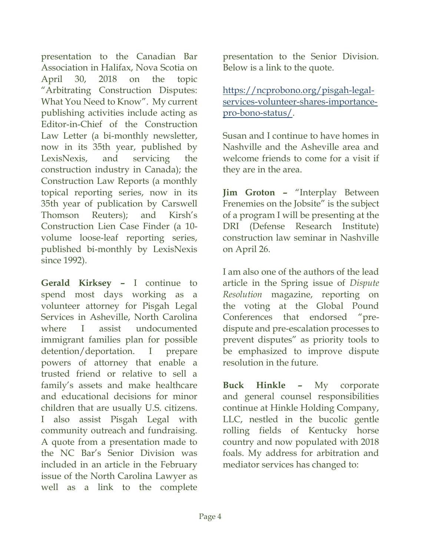presentation to the Canadian Bar Association in Halifax, Nova Scotia on April 30, 2018 on the topic "Arbitrating Construction Disputes: What You Need to Know". My current publishing activities include acting as Editor-in-Chief of the Construction Law Letter (a bi-monthly newsletter, now in its 35th year, published by LexisNexis, and servicing the construction industry in Canada); the Construction Law Reports (a monthly topical reporting series, now in its 35th year of publication by Carswell Thomson Reuters); and Kirsh's Construction Lien Case Finder (a 10 volume loose-leaf reporting series, published bi-monthly by LexisNexis since 1992).

**Gerald Kirksey –** I continue to spend most days working as a volunteer attorney for Pisgah Legal Services in Asheville, North Carolina where I assist undocumented immigrant families plan for possible detention/deportation. I prepare powers of attorney that enable a trusted friend or relative to sell a family's assets and make healthcare and educational decisions for minor children that are usually U.S. citizens. I also assist Pisgah Legal with community outreach and fundraising. A quote from a presentation made to the NC Bar's Senior Division was included in an article in the February issue of the North Carolina Lawyer as well as a link to the complete

presentation to the Senior Division. Below is a link to the quote.

[https://ncprobono.org/pisgah-legal](https://ncprobono.org/pisgah-legal-services-volunteer-shares-importance-pro-bono-status/)[services-volunteer-shares-importance](https://ncprobono.org/pisgah-legal-services-volunteer-shares-importance-pro-bono-status/)[pro-bono-status/.](https://ncprobono.org/pisgah-legal-services-volunteer-shares-importance-pro-bono-status/)

Susan and I continue to have homes in Nashville and the Asheville area and welcome friends to come for a visit if they are in the area.

**Jim Groton –** "Interplay Between Frenemies on the Jobsite" is the subject of a program I will be presenting at the DRI (Defense Research Institute) construction law seminar in Nashville on April 26.

I am also one of the authors of the lead article in the Spring issue of *Dispute Resolution* magazine, reporting on the voting at the Global Pound Conferences that endorsed "predispute and pre-escalation processes to prevent disputes" as priority tools to be emphasized to improve dispute resolution in the future.

**Buck Hinkle –** My corporate and general counsel responsibilities continue at Hinkle Holding Company, LLC, nestled in the bucolic gentle rolling fields of Kentucky horse country and now populated with 2018 foals. My address for arbitration and mediator services has changed to: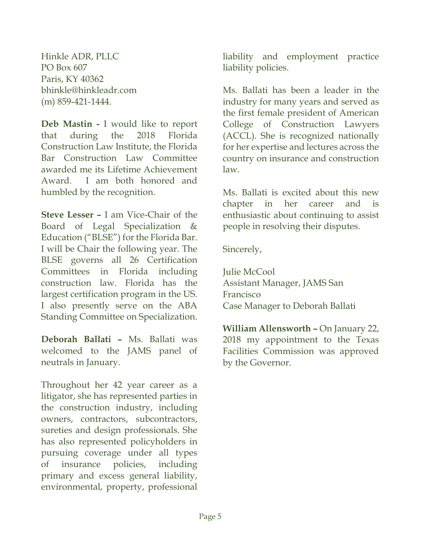Hinkle ADR, PLLC PO Box 607 Paris, KY 40362 bhinkle@hinkleadr.com (m) 859-421-1444.

**Deb Mastin -** I would like to report that during the 2018 Florida Construction Law Institute, the Florida Bar Construction Law Committee awarded me its Lifetime Achievement Award. I am both honored and humbled by the recognition.

**Steve Lesser –** I am Vice-Chair of the Board of Legal Specialization & Education ("BLSE") for the Florida Bar. I will be Chair the following year. The BLSE governs all 26 Certification Committees in Florida including construction law. Florida has the largest certification program in the US. I also presently serve on the ABA Standing Committee on Specialization.

**Deborah Ballati –** Ms. Ballati was welcomed to the JAMS panel of neutrals in January.

Throughout her 42 year career as a litigator, she has represented parties in the construction industry, including owners, contractors, subcontractors, sureties and design professionals. She has also represented policyholders in pursuing coverage under all types of insurance policies, including primary and excess general liability, environmental, property, professional liability and employment practice liability policies.

Ms. Ballati has been a leader in the industry for many years and served as the first female president of American College of Construction Lawyers (ACCL). She is recognized nationally for her expertise and lectures across the country on insurance and construction law.

Ms. Ballati is excited about this new chapter in her career and is enthusiastic about continuing to assist people in resolving their disputes.

Sincerely,

Julie McCool Assistant Manager, JAMS San Francisco Case Manager to Deborah Ballati

**William Allensworth –** On January 22, 2018 my appointment to the Texas Facilities Commission was approved by the Governor.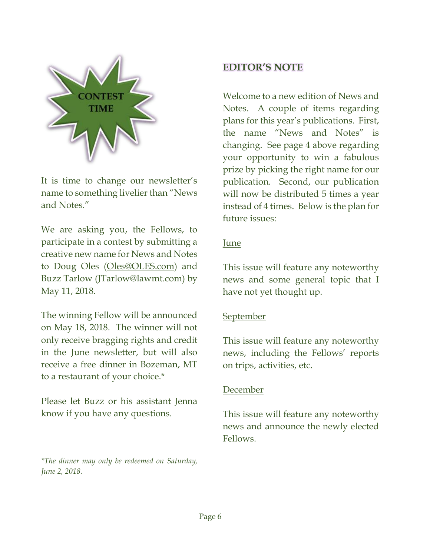

It is time to change our newsletter's name to something livelier than "News and Notes."

We are asking you, the Fellows, to participate in a contest by submitting a creative new name for News and Notes to Doug Oles (Oles@OLES.com) and Buzz Tarlow [\(JTarlow@lawmt.com\)](mailto:JTarlow@lawmt.com) by May 11, 2018.

The winning Fellow will be announced on May 18, 2018. The winner will not only receive bragging rights and credit in the June newsletter, but will also receive a free dinner in Bozeman, MT to a restaurant of your choice.\*

Please let Buzz or his assistant Jenna know if you have any questions.

*\*The dinner may only be redeemed on Saturday, June 2, 2018.*

## <span id="page-5-0"></span>**EDITOR'S NOTE**

Welcome to a new edition of News and Notes. A couple of items regarding plans for this year's publications. First, the name "News and Notes" is changing. See page 4 above regarding your opportunity to win a fabulous prize by picking the right name for our publication. Second, our publication will now be distributed 5 times a year instead of 4 times. Below is the plan for future issues:

#### June

This issue will feature any noteworthy news and some general topic that I have not yet thought up.

#### September

This issue will feature any noteworthy news, including the Fellows' reports on trips, activities, etc.

#### December

This issue will feature any noteworthy news and announce the newly elected Fellows.